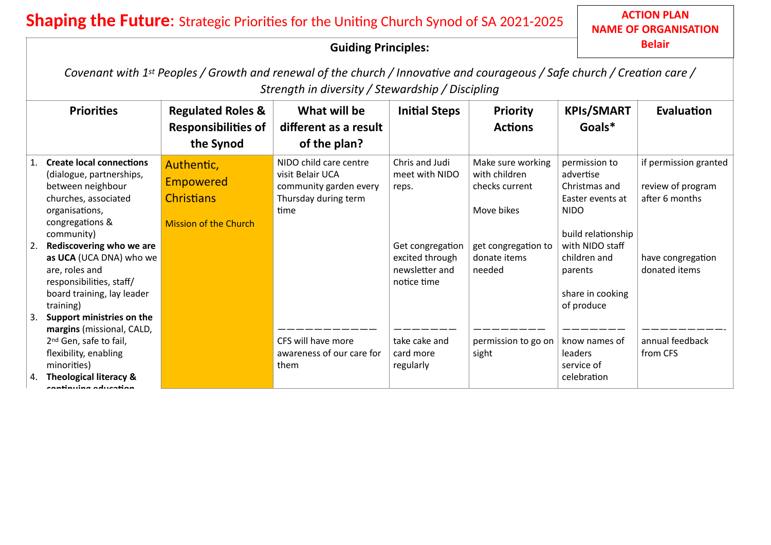## **Shaping the Future**: Strategic Priorities for the Uniting Church Synod of SA 2021-2025

| <b>Guiding Principles:</b> |                                                                                                                                                                                                   |                                                                                     |                                                                                                      |                                                                      |                                                                    |                                                                                                      | <b>Belair</b>                                                |  |  |  |  |
|----------------------------|---------------------------------------------------------------------------------------------------------------------------------------------------------------------------------------------------|-------------------------------------------------------------------------------------|------------------------------------------------------------------------------------------------------|----------------------------------------------------------------------|--------------------------------------------------------------------|------------------------------------------------------------------------------------------------------|--------------------------------------------------------------|--|--|--|--|
|                            | Covenant with 1st Peoples / Growth and renewal of the church / Innovative and courageous / Safe church / Creation care /<br>Strength in diversity / Stewardship / Discipling                      |                                                                                     |                                                                                                      |                                                                      |                                                                    |                                                                                                      |                                                              |  |  |  |  |
|                            | <b>Priorities</b>                                                                                                                                                                                 | <b>Regulated Roles &amp;</b><br><b>Responsibilities of</b><br>the Synod             | What will be<br>different as a result<br>of the plan?                                                | <b>Initial Steps</b>                                                 | <b>Priority</b><br><b>Actions</b>                                  | <b>KPIs/SMART</b><br>Goals*                                                                          | Evaluation                                                   |  |  |  |  |
|                            | 1. Create local connections<br>(dialogue, partnerships,<br>between neighbour<br>churches, associated<br>organisations,<br>congregations &<br>community)                                           | Authentic,<br><b>Empowered</b><br><b>Christians</b><br><b>Mission of the Church</b> | NIDO child care centre<br>visit Belair UCA<br>community garden every<br>Thursday during term<br>time | Chris and Judi<br>meet with NIDO<br>reps.                            | Make sure working<br>with children<br>checks current<br>Move bikes | permission to<br>advertise<br>Christmas and<br>Easter events at<br><b>NIDO</b><br>build relationship | if permission granted<br>review of program<br>after 6 months |  |  |  |  |
| 2.                         | Rediscovering who we are<br>as UCA (UCA DNA) who we<br>are, roles and<br>responsibilities, staff/<br>board training, lay leader<br>training)                                                      |                                                                                     |                                                                                                      | Get congregation<br>excited through<br>newsletter and<br>notice time | get congregation to<br>donate items<br>needed                      | with NIDO staff<br>children and<br>parents<br>share in cooking<br>of produce                         | have congregation<br>donated items                           |  |  |  |  |
| $\mathbf{3}$ .             | Support ministries on the<br>margins (missional, CALD,<br>2 <sup>nd</sup> Gen, safe to fail,<br>flexibility, enabling<br>minorities)<br><b>Theological literacy &amp;</b><br>aantinulaa adusatian |                                                                                     | CFS will have more<br>awareness of our care for<br>them                                              | take cake and<br>card more<br>regularly                              | permission to go on<br>sight                                       | know names of<br>leaders<br>service of<br>celebration                                                | annual feedback<br>from CFS                                  |  |  |  |  |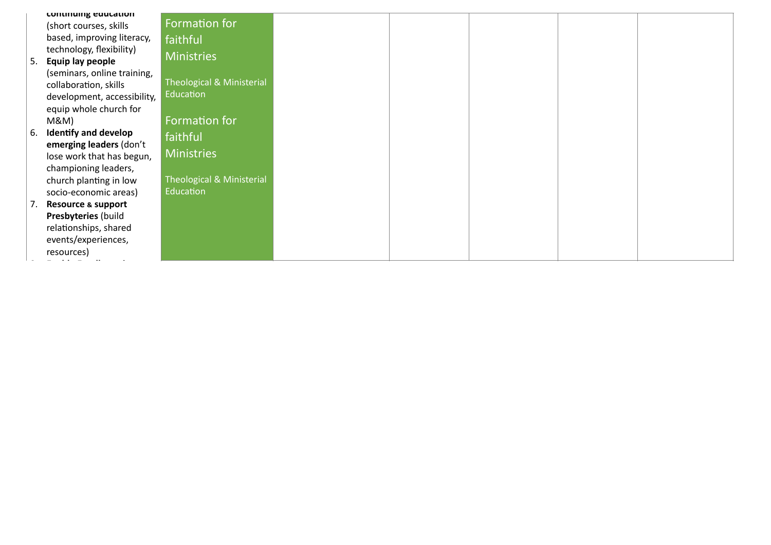|    | continuing equication         |                           |
|----|-------------------------------|---------------------------|
|    | (short courses, skills        | Formation for             |
|    | based, improving literacy,    | faithful                  |
|    | technology, flexibility)      |                           |
| 5. | Equip lay people              | <b>Ministries</b>         |
|    | (seminars, online training,   |                           |
|    | collaboration, skills         | Theological & Ministerial |
|    | development, accessibility,   | Education                 |
|    | equip whole church for        |                           |
|    | M&M                           | Formation for             |
| 6. | <b>Identify and develop</b>   |                           |
|    | emerging leaders (don't       | faithful                  |
|    | lose work that has begun,     | <b>Ministries</b>         |
|    | championing leaders,          |                           |
|    |                               | Theological & Ministerial |
|    | church planting in low        | Education                 |
|    | socio-economic areas)         |                           |
| 7. | <b>Resource &amp; support</b> |                           |
|    | Presbyteries (build           |                           |
|    | relationships, shared         |                           |
|    | events/experiences,           |                           |
|    | resources)                    |                           |